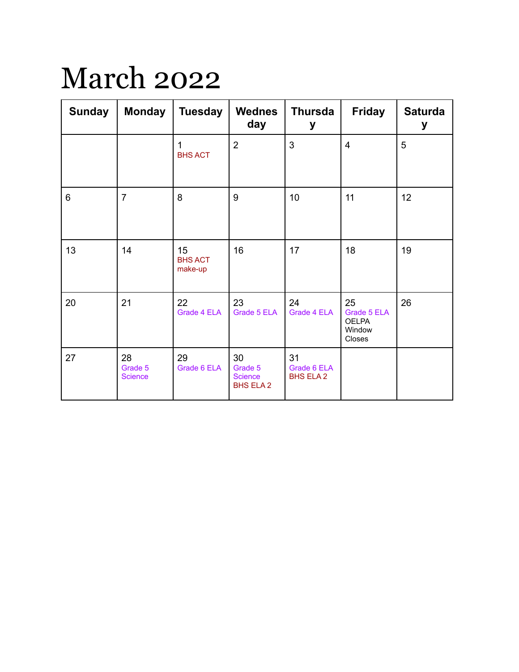## March 2022

| <b>Sunday</b>  | <b>Monday</b>                   | <b>Tuesday</b>                  | <b>Wednes</b><br>day                                | <b>Thursda</b><br>у                   | <b>Friday</b>                                         | <b>Saturda</b><br>у |
|----------------|---------------------------------|---------------------------------|-----------------------------------------------------|---------------------------------------|-------------------------------------------------------|---------------------|
|                |                                 | <b>BHS ACT</b>                  | $\overline{2}$                                      | 3                                     | $\overline{4}$                                        | 5                   |
| $6\phantom{1}$ | $\overline{7}$                  | 8                               | 9                                                   | 10                                    | 11                                                    | 12                  |
| 13             | 14                              | 15<br><b>BHS ACT</b><br>make-up | 16                                                  | 17                                    | 18                                                    | 19                  |
| 20             | 21                              | 22<br>Grade 4 ELA               | 23<br>Grade 5 ELA                                   | 24<br>Grade 4 ELA                     | 25<br>Grade 5 ELA<br><b>OELPA</b><br>Window<br>Closes | 26                  |
| 27             | 28<br>Grade 5<br><b>Science</b> | 29<br>Grade 6 ELA               | 30<br>Grade 5<br><b>Science</b><br><b>BHS ELA 2</b> | 31<br>Grade 6 ELA<br><b>BHS ELA 2</b> |                                                       |                     |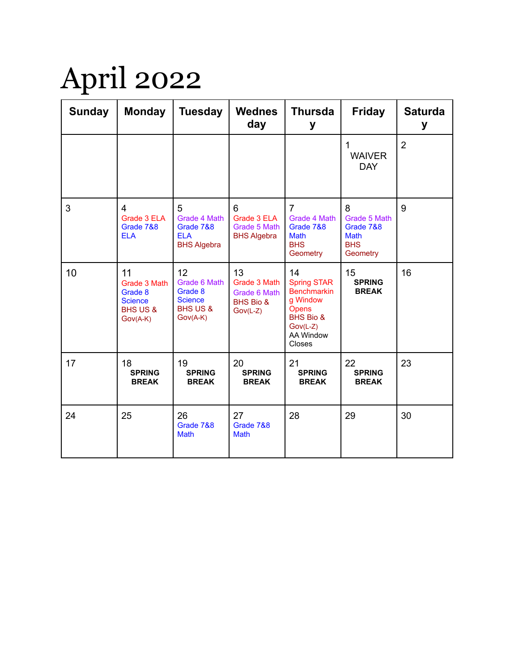## April 2022

| <b>Sunday</b> | <b>Monday</b>                                                                      | <b>Tuesday</b>                                                                       | <b>Wednes</b><br>day                                                     | <b>Thursda</b><br>у                                                                                                              | <b>Friday</b>                                                           | <b>Saturda</b><br>у |
|---------------|------------------------------------------------------------------------------------|--------------------------------------------------------------------------------------|--------------------------------------------------------------------------|----------------------------------------------------------------------------------------------------------------------------------|-------------------------------------------------------------------------|---------------------|
|               |                                                                                    |                                                                                      |                                                                          |                                                                                                                                  | 1<br><b>WAIVER</b><br><b>DAY</b>                                        | $\overline{2}$      |
| 3             | $\overline{\mathbf{4}}$<br>Grade 3 ELA<br>Grade 7&8<br><b>ELA</b>                  | 5<br>Grade 4 Math<br>Grade 7&8<br><b>ELA</b><br><b>BHS Algebra</b>                   | 6<br>Grade 3 ELA<br>Grade 5 Math<br><b>BHS Algebra</b>                   | $\overline{7}$<br>Grade 4 Math<br>Grade 7&8<br><b>Math</b><br><b>BHS</b><br>Geometry                                             | 8<br>Grade 5 Math<br>Grade 7&8<br><b>Math</b><br><b>BHS</b><br>Geometry | 9                   |
| 10            | 11<br>Grade 3 Math<br>Grade 8<br><b>Science</b><br><b>BHS US &amp;</b><br>Gov(A-K) | 12<br>Grade 6 Math<br>Grade 8<br><b>Science</b><br><b>BHS US &amp;</b><br>$Gov(A-K)$ | 13<br>Grade 3 Math<br>Grade 6 Math<br><b>BHS Bio &amp;</b><br>$Gov(L-Z)$ | 14<br><b>Spring STAR</b><br><b>Benchmarkin</b><br>g Window<br>Opens<br><b>BHS Bio &amp;</b><br>$Gov(L-Z)$<br>AA Window<br>Closes | 15<br><b>SPRING</b><br><b>BREAK</b>                                     | 16                  |
| 17            | 18<br><b>SPRING</b><br><b>BREAK</b>                                                | 19<br><b>SPRING</b><br><b>BREAK</b>                                                  | 20<br><b>SPRING</b><br><b>BREAK</b>                                      | 21<br><b>SPRING</b><br><b>BREAK</b>                                                                                              | 22<br><b>SPRING</b><br><b>BREAK</b>                                     | 23                  |
| 24            | 25                                                                                 | 26<br>Grade 7&8<br>Math                                                              | 27<br>Grade 7&8<br>Math                                                  | 28                                                                                                                               | 29                                                                      | 30                  |